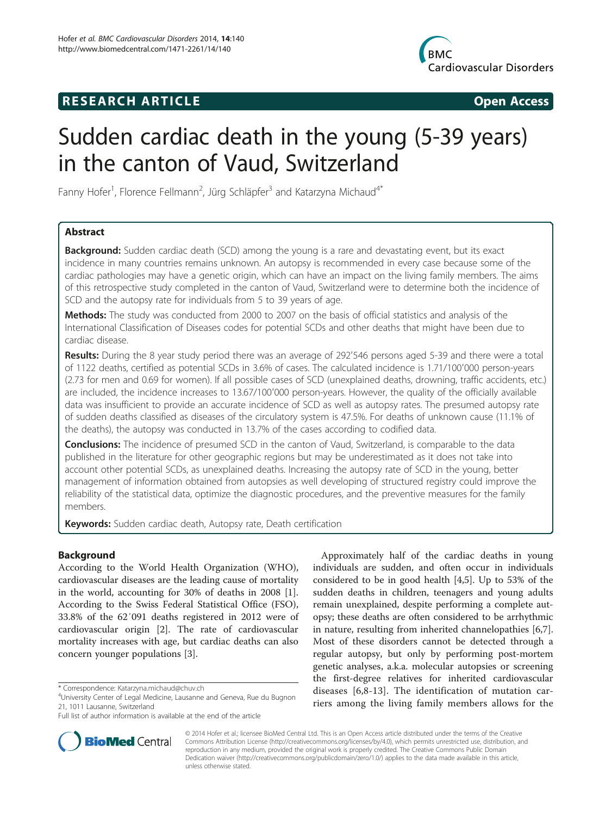## **RESEARCH ARTICLE Example 2014 CONSIDERING CONSIDERING CONSIDERING CONSIDERING CONSIDERING CONSIDERING CONSIDERING CONSIDERING CONSIDERING CONSIDERING CONSIDERING CONSIDERING CONSIDERING CONSIDERING CONSIDERING CONSIDE**



# Sudden cardiac death in the young (5-39 years) in the canton of Vaud, Switzerland

Fanny Hofer<sup>1</sup>, Florence Fellmann<sup>2</sup>, Jürg Schläpfer<sup>3</sup> and Katarzyna Michaud<sup>4\*</sup>

## Abstract

**Background:** Sudden cardiac death (SCD) among the young is a rare and devastating event, but its exact incidence in many countries remains unknown. An autopsy is recommended in every case because some of the cardiac pathologies may have a genetic origin, which can have an impact on the living family members. The aims of this retrospective study completed in the canton of Vaud, Switzerland were to determine both the incidence of SCD and the autopsy rate for individuals from 5 to 39 years of age.

**Methods:** The study was conducted from 2000 to 2007 on the basis of official statistics and analysis of the International Classification of Diseases codes for potential SCDs and other deaths that might have been due to cardiac disease.

Results: During the 8 year study period there was an average of 292'546 persons aged 5-39 and there were a total of 1122 deaths, certified as potential SCDs in 3.6% of cases. The calculated incidence is 1.71/100′000 person-years (2.73 for men and 0.69 for women). If all possible cases of SCD (unexplained deaths, drowning, traffic accidents, etc.) are included, the incidence increases to 13.67/100′000 person-years. However, the quality of the officially available data was insufficient to provide an accurate incidence of SCD as well as autopsy rates. The presumed autopsy rate of sudden deaths classified as diseases of the circulatory system is 47.5%. For deaths of unknown cause (11.1% of the deaths), the autopsy was conducted in 13.7% of the cases according to codified data.

**Conclusions:** The incidence of presumed SCD in the canton of Vaud, Switzerland, is comparable to the data published in the literature for other geographic regions but may be underestimated as it does not take into account other potential SCDs, as unexplained deaths. Increasing the autopsy rate of SCD in the young, better management of information obtained from autopsies as well developing of structured registry could improve the reliability of the statistical data, optimize the diagnostic procedures, and the preventive measures for the family members.

Keywords: Sudden cardiac death, Autopsy rate, Death certification

## Background

According to the World Health Organization (WHO), cardiovascular diseases are the leading cause of mortality in the world, accounting for 30% of deaths in 2008 [\[1](#page-6-0)]. According to the Swiss Federal Statistical Office (FSO), 33.8% of the 62′091 deaths registered in 2012 were of cardiovascular origin [[2](#page-6-0)]. The rate of cardiovascular mortality increases with age, but cardiac deaths can also concern younger populations [\[3](#page-6-0)].

Approximately half of the cardiac deaths in young individuals are sudden, and often occur in individuals considered to be in good health [[4,5\]](#page-6-0). Up to 53% of the sudden deaths in children, teenagers and young adults remain unexplained, despite performing a complete autopsy; these deaths are often considered to be arrhythmic in nature, resulting from inherited channelopathies [\[6,7](#page-6-0)]. Most of these disorders cannot be detected through a regular autopsy, but only by performing post-mortem genetic analyses, a.k.a. molecular autopsies or screening the first-degree relatives for inherited cardiovascular diseases [[6,8](#page-6-0)-[13\]](#page-6-0). The identification of mutation carriers among the living family members allows for the



© 2014 Hofer et al.; licensee BioMed Central Ltd. This is an Open Access article distributed under the terms of the Creative Commons Attribution License [\(http://creativecommons.org/licenses/by/4.0\)](http://creativecommons.org/licenses/by/4.0), which permits unrestricted use, distribution, and reproduction in any medium, provided the original work is properly credited. The Creative Commons Public Domain Dedication waiver [\(http://creativecommons.org/publicdomain/zero/1.0/](http://creativecommons.org/publicdomain/zero/1.0/)) applies to the data made available in this article, unless otherwise stated.

<sup>\*</sup> Correspondence: [Katarzyna.michaud@chuv.ch](mailto:Katarzyna.michaud@chuv.ch) <sup>4</sup>

University Center of Legal Medicine, Lausanne and Geneva, Rue du Bugnon 21, 1011 Lausanne, Switzerland

Full list of author information is available at the end of the article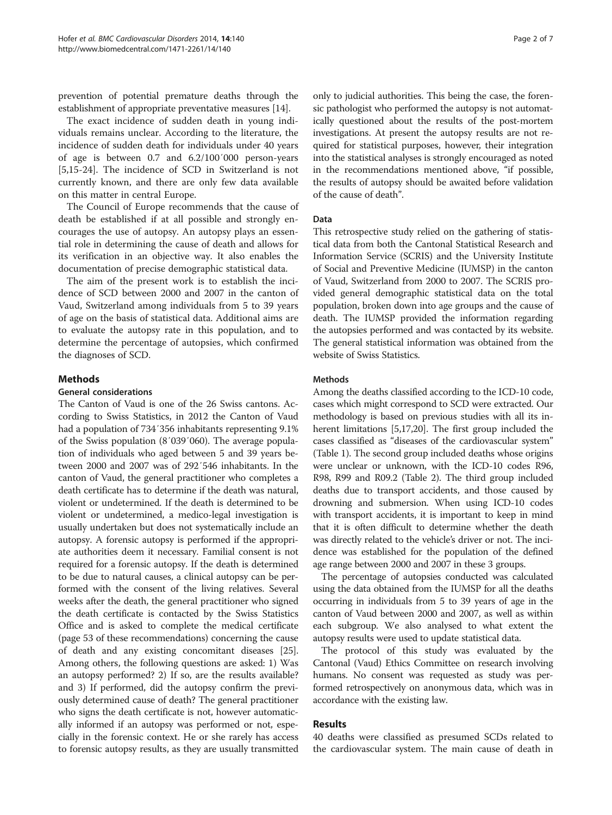prevention of potential premature deaths through the establishment of appropriate preventative measures [\[14\]](#page-6-0).

The exact incidence of sudden death in young individuals remains unclear. According to the literature, the incidence of sudden death for individuals under 40 years of age is between 0.7 and 6.2/100′000 person-years [[5,15-24](#page-6-0)]. The incidence of SCD in Switzerland is not currently known, and there are only few data available on this matter in central Europe.

The Council of Europe recommends that the cause of death be established if at all possible and strongly encourages the use of autopsy. An autopsy plays an essential role in determining the cause of death and allows for its verification in an objective way. It also enables the documentation of precise demographic statistical data.

The aim of the present work is to establish the incidence of SCD between 2000 and 2007 in the canton of Vaud, Switzerland among individuals from 5 to 39 years of age on the basis of statistical data. Additional aims are to evaluate the autopsy rate in this population, and to determine the percentage of autopsies, which confirmed the diagnoses of SCD.

## **Methods**

## General considerations

The Canton of Vaud is one of the 26 Swiss cantons. According to Swiss Statistics, in 2012 the Canton of Vaud had a population of 734′356 inhabitants representing 9.1% of the Swiss population (8′039′060). The average population of individuals who aged between 5 and 39 years between 2000 and 2007 was of 292′546 inhabitants. In the canton of Vaud, the general practitioner who completes a death certificate has to determine if the death was natural, violent or undetermined. If the death is determined to be violent or undetermined, a medico-legal investigation is usually undertaken but does not systematically include an autopsy. A forensic autopsy is performed if the appropriate authorities deem it necessary. Familial consent is not required for a forensic autopsy. If the death is determined to be due to natural causes, a clinical autopsy can be performed with the consent of the living relatives. Several weeks after the death, the general practitioner who signed the death certificate is contacted by the Swiss Statistics Office and is asked to complete the medical certificate (page 53 of these recommendations) concerning the cause of death and any existing concomitant diseases [[25](#page-6-0)]. Among others, the following questions are asked: 1) Was an autopsy performed? 2) If so, are the results available? and 3) If performed, did the autopsy confirm the previously determined cause of death? The general practitioner who signs the death certificate is not, however automatically informed if an autopsy was performed or not, especially in the forensic context. He or she rarely has access to forensic autopsy results, as they are usually transmitted

only to judicial authorities. This being the case, the forensic pathologist who performed the autopsy is not automatically questioned about the results of the post-mortem investigations. At present the autopsy results are not required for statistical purposes, however, their integration into the statistical analyses is strongly encouraged as noted in the recommendations mentioned above, "if possible, the results of autopsy should be awaited before validation of the cause of death".

#### Data

This retrospective study relied on the gathering of statistical data from both the Cantonal Statistical Research and Information Service (SCRIS) and the University Institute of Social and Preventive Medicine (IUMSP) in the canton of Vaud, Switzerland from 2000 to 2007. The SCRIS provided general demographic statistical data on the total population, broken down into age groups and the cause of death. The IUMSP provided the information regarding the autopsies performed and was contacted by its website. The general statistical information was obtained from the website of Swiss Statistics.

#### Methods

Among the deaths classified according to the ICD-10 code, cases which might correspond to SCD were extracted. Our methodology is based on previous studies with all its in-herent limitations [[5,17,20\]](#page-6-0). The first group included the cases classified as "diseases of the cardiovascular system" (Table [1\)](#page-2-0). The second group included deaths whose origins were unclear or unknown, with the ICD-10 codes R96, R98, R99 and R09.2 (Table [2](#page-2-0)). The third group included deaths due to transport accidents, and those caused by drowning and submersion. When using ICD-10 codes with transport accidents, it is important to keep in mind that it is often difficult to determine whether the death was directly related to the vehicle's driver or not. The incidence was established for the population of the defined age range between 2000 and 2007 in these 3 groups.

The percentage of autopsies conducted was calculated using the data obtained from the IUMSP for all the deaths occurring in individuals from 5 to 39 years of age in the canton of Vaud between 2000 and 2007, as well as within each subgroup. We also analysed to what extent the autopsy results were used to update statistical data.

The protocol of this study was evaluated by the Cantonal (Vaud) Ethics Committee on research involving humans. No consent was requested as study was performed retrospectively on anonymous data, which was in accordance with the existing law.

## Results

40 deaths were classified as presumed SCDs related to the cardiovascular system. The main cause of death in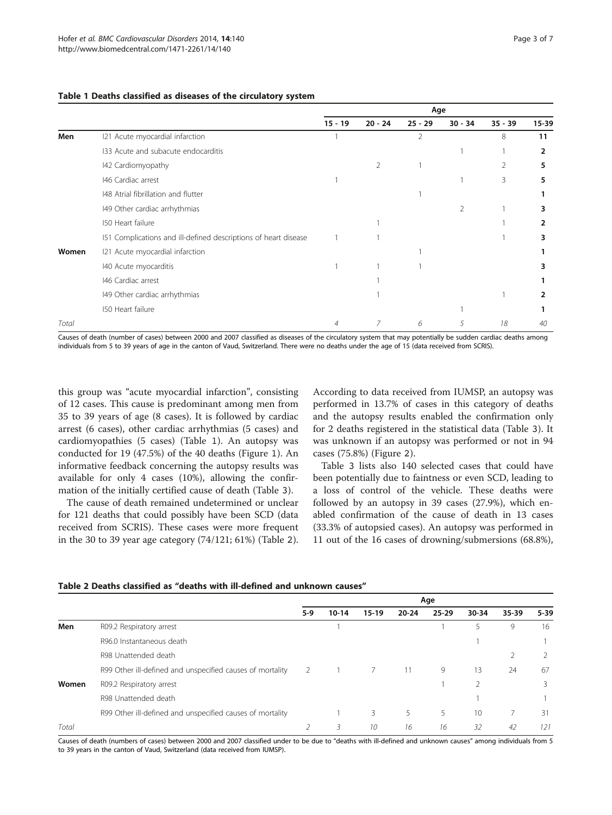#### <span id="page-2-0"></span>Table 1 Deaths classified as diseases of the circulatory system

|       |                                                                 | Age       |           |                |                |           |       |
|-------|-----------------------------------------------------------------|-----------|-----------|----------------|----------------|-----------|-------|
|       |                                                                 | $15 - 19$ | $20 - 24$ | $25 - 29$      | $30 - 34$      | $35 - 39$ | 15-39 |
| Men   | 121 Acute myocardial infarction                                 |           |           | $\overline{2}$ |                | 8         | 11    |
|       | 133 Acute and subacute endocarditis                             |           |           |                |                |           | 2     |
|       | 142 Cardiomyopathy                                              |           | 2         |                |                | 2         | 5     |
|       | 146 Cardiac arrest                                              |           |           |                |                | 3         | 5     |
|       | 148 Atrial fibrillation and flutter                             |           |           |                |                |           |       |
|       | 149 Other cardiac arrhythmias                                   |           |           |                | $\overline{2}$ |           | 3     |
|       | 150 Heart failure                                               |           |           |                |                |           | 2     |
|       | 151 Complications and ill-defined descriptions of heart disease |           |           |                |                |           | 3     |
| Women | 121 Acute myocardial infarction                                 |           |           |                |                |           |       |
|       | 140 Acute myocarditis                                           |           |           |                |                |           | 3     |
|       | 146 Cardiac arrest                                              |           |           |                |                |           |       |
|       | 149 Other cardiac arrhythmias                                   |           |           |                |                |           | 2     |
|       | 150 Heart failure                                               |           |           |                |                |           |       |
| Total |                                                                 | 4         | 7         | 6              | 5              | 18        | 40    |

Causes of death (number of cases) between 2000 and 2007 classified as diseases of the circulatory system that may potentially be sudden cardiac deaths among individuals from 5 to 39 years of age in the canton of Vaud, Switzerland. There were no deaths under the age of 15 (data received from SCRIS).

this group was "acute myocardial infarction", consisting of 12 cases. This cause is predominant among men from 35 to 39 years of age (8 cases). It is followed by cardiac arrest (6 cases), other cardiac arrhythmias (5 cases) and cardiomyopathies (5 cases) (Table 1). An autopsy was conducted for 19 (47.5%) of the 40 deaths (Figure [1](#page-3-0)). An informative feedback concerning the autopsy results was available for only 4 cases (10%), allowing the confirmation of the initially certified cause of death (Table [3](#page-3-0)).

The cause of death remained undetermined or unclear for 121 deaths that could possibly have been SCD (data received from SCRIS). These cases were more frequent in the 30 to 39 year age category (74/121; 61%) (Table 2). According to data received from IUMSP, an autopsy was performed in 13.7% of cases in this category of deaths and the autopsy results enabled the confirmation only for 2 deaths registered in the statistical data (Table [3](#page-3-0)). It was unknown if an autopsy was performed or not in 94 cases (75.8%) (Figure [2](#page-4-0)).

Table [3](#page-3-0) lists also 140 selected cases that could have been potentially due to faintness or even SCD, leading to a loss of control of the vehicle. These deaths were followed by an autopsy in 39 cases (27.9%), which enabled confirmation of the cause of death in 13 cases (33.3% of autopsied cases). An autopsy was performed in 11 out of the 16 cases of drowning/submersions (68.8%),

|       |                                                           | Age           |           |         |           |           |       |               |          |
|-------|-----------------------------------------------------------|---------------|-----------|---------|-----------|-----------|-------|---------------|----------|
|       |                                                           | 5-9           | $10 - 14$ | $15-19$ | $20 - 24$ | $25 - 29$ | 30-34 | 35-39         | $5 - 39$ |
| Men   | R09.2 Respiratory arrest                                  |               |           |         |           |           | 5     | 9             | 16       |
|       | R96.0 Instantaneous death                                 |               |           |         |           |           |       |               |          |
|       | R98 Unattended death                                      |               |           |         |           |           |       | $\mathcal{P}$ |          |
|       | R99 Other ill-defined and unspecified causes of mortality | $\mathcal{L}$ |           |         |           | 9         | 13    | 24            | 67       |
| Women | R09.2 Respiratory arrest                                  |               |           |         |           |           |       |               | 3        |
|       | R98 Unattended death                                      |               |           |         |           |           |       |               |          |
|       | R99 Other ill-defined and unspecified causes of mortality |               |           | 3       | 5.        | 5         | 10    |               | 31       |
| Total |                                                           |               | 3         | 10      | 16        | 16        | 32    | 42            | 121      |

#### Table 2 Deaths classified as "deaths with ill-defined and unknown causes"

Causes of death (numbers of cases) between 2000 and 2007 classified under to be due to "deaths with ill-defined and unknown causes" among individuals from 5 to 39 years in the canton of Vaud, Switzerland (data received from IUMSP).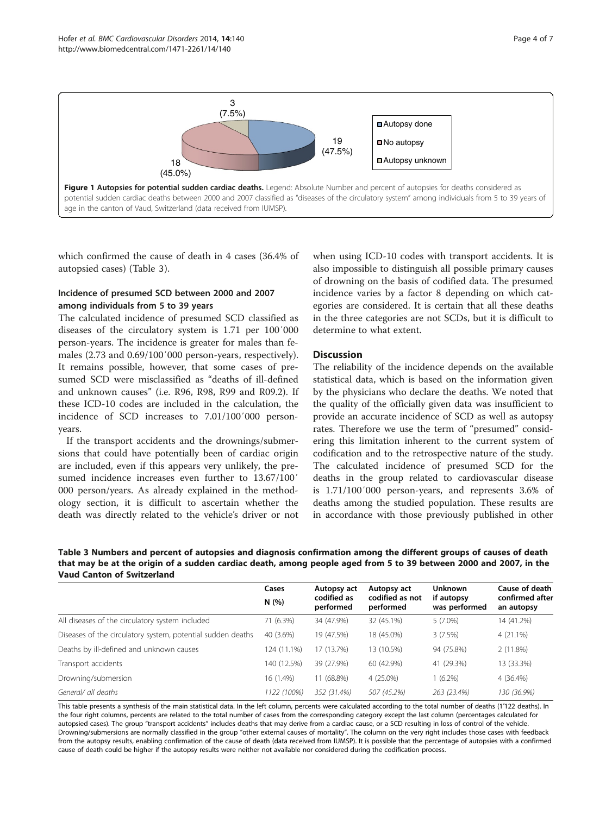<span id="page-3-0"></span>

which confirmed the cause of death in 4 cases (36.4% of autopsied cases) (Table 3).

## Incidence of presumed SCD between 2000 and 2007 among individuals from 5 to 39 years

The calculated incidence of presumed SCD classified as diseases of the circulatory system is 1.71 per 100′000 person-years. The incidence is greater for males than females (2.73 and 0.69/100′000 person-years, respectively). It remains possible, however, that some cases of presumed SCD were misclassified as "deaths of ill-defined and unknown causes" (i.e. R96, R98, R99 and R09.2). If these ICD-10 codes are included in the calculation, the incidence of SCD increases to 7.01/100′000 personyears.

If the transport accidents and the drownings/submersions that could have potentially been of cardiac origin are included, even if this appears very unlikely, the presumed incidence increases even further to 13.67/100′ 000 person/years. As already explained in the methodology section, it is difficult to ascertain whether the death was directly related to the vehicle's driver or not

when using ICD-10 codes with transport accidents. It is also impossible to distinguish all possible primary causes of drowning on the basis of codified data. The presumed incidence varies by a factor 8 depending on which categories are considered. It is certain that all these deaths in the three categories are not SCDs, but it is difficult to determine to what extent.

## **Discussion**

The reliability of the incidence depends on the available statistical data, which is based on the information given by the physicians who declare the deaths. We noted that the quality of the officially given data was insufficient to provide an accurate incidence of SCD as well as autopsy rates. Therefore we use the term of "presumed" considering this limitation inherent to the current system of codification and to the retrospective nature of the study. The calculated incidence of presumed SCD for the deaths in the group related to cardiovascular disease is 1.71/100′000 person-years, and represents 3.6% of deaths among the studied population. These results are in accordance with those previously published in other

Table 3 Numbers and percent of autopsies and diagnosis confirmation among the different groups of causes of death that may be at the origin of a sudden cardiac death, among people aged from 5 to 39 between 2000 and 2007, in the Vaud Canton of Switzerland

|                                                             | Cases<br>N(%) | Autopsy act<br>codified as<br>performed | Autopsy act<br>codified as not<br>performed | <b>Unknown</b><br>if autopsy<br>was performed | Cause of death<br>confirmed after<br>an autopsy |
|-------------------------------------------------------------|---------------|-----------------------------------------|---------------------------------------------|-----------------------------------------------|-------------------------------------------------|
| All diseases of the circulatory system included             | 71 (6.3%)     | 34 (47.9%)                              | 32 (45.1%)                                  | $5(7.0\%)$                                    | 14 (41.2%)                                      |
| Diseases of the circulatory system, potential sudden deaths | 40 (3.6%)     | 19 (47.5%)                              | 18 (45.0%)                                  | 3(7.5%)                                       | $4(21.1\%)$                                     |
| Deaths by ill-defined and unknown causes                    | 124 (11.1%)   | 17 (13.7%)                              | 13 (10.5%)                                  | 94 (75.8%)                                    | 2(11.8%)                                        |
| Transport accidents                                         | 140 (12.5%)   | 39 (27.9%)                              | 60 (42.9%)                                  | 41 (29.3%)                                    | 13 (33.3%)                                      |
| Drowning/submersion                                         | 16 (1.4%)     | 11 (68.8%)                              | 4 (25.0%)                                   | $1(6.2\%)$                                    | 4 (36.4%)                                       |
| General/ all deaths                                         | 1122 (100%)   | 352 (31.4%)                             | 507 (45.2%)                                 | 263 (23.4%)                                   | 130 (36.9%)                                     |

This table presents a synthesis of the main statistical data. In the left column, percents were calculated according to the total number of deaths (1′122 deaths). In the four right columns, percents are related to the total number of cases from the corresponding category except the last column (percentages calculated for autopsied cases). The group "transport accidents" includes deaths that may derive from a cardiac cause, or a SCD resulting in loss of control of the vehicle. Drowning/submersions are normally classified in the group "other external causes of mortality". The column on the very right includes those cases with feedback from the autopsy results, enabling confirmation of the cause of death (data received from IUMSP). It is possible that the percentage of autopsies with a confirmed cause of death could be higher if the autopsy results were neither not available nor considered during the codification process.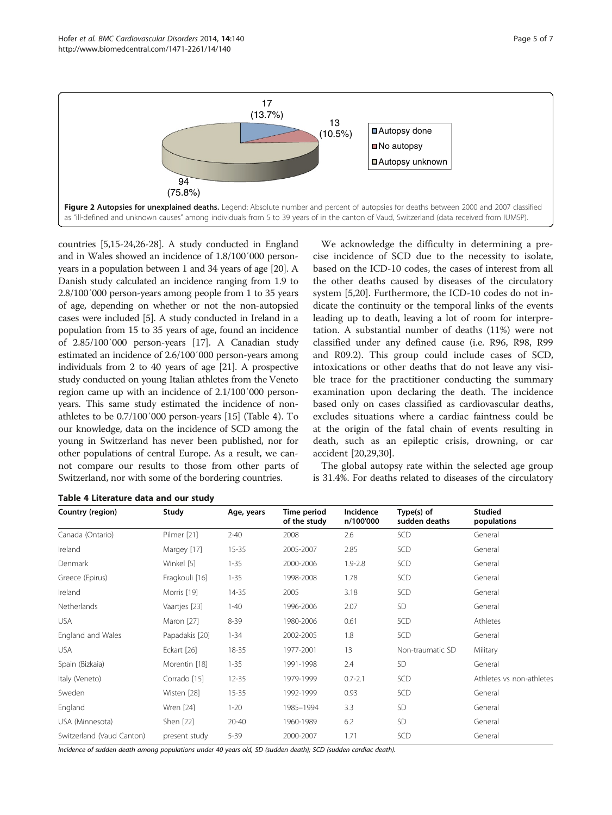<span id="page-4-0"></span>

countries [[5,15-24,26](#page-6-0)-[28](#page-6-0)]. A study conducted in England and in Wales showed an incidence of 1.8/100′000 personyears in a population between 1 and 34 years of age [\[20\]](#page-6-0). A Danish study calculated an incidence ranging from 1.9 to 2.8/100′000 person-years among people from 1 to 35 years of age, depending on whether or not the non-autopsied cases were included [[5\]](#page-6-0). A study conducted in Ireland in a population from 15 to 35 years of age, found an incidence of 2.85/100′000 person-years [\[17](#page-6-0)]. A Canadian study estimated an incidence of 2.6/100′000 person-years among individuals from 2 to 40 years of age [\[21\]](#page-6-0). A prospective study conducted on young Italian athletes from the Veneto region came up with an incidence of 2.1/100′000 personyears. This same study estimated the incidence of nonathletes to be 0.7/100′000 person-years [\[15](#page-6-0)] (Table 4). To our knowledge, data on the incidence of SCD among the young in Switzerland has never been published, nor for other populations of central Europe. As a result, we cannot compare our results to those from other parts of Switzerland, nor with some of the bordering countries.

We acknowledge the difficulty in determining a precise incidence of SCD due to the necessity to isolate, based on the ICD-10 codes, the cases of interest from all the other deaths caused by diseases of the circulatory system [[5,20\]](#page-6-0). Furthermore, the ICD-10 codes do not indicate the continuity or the temporal links of the events leading up to death, leaving a lot of room for interpretation. A substantial number of deaths (11%) were not classified under any defined cause (i.e. R96, R98, R99 and R09.2). This group could include cases of SCD, intoxications or other deaths that do not leave any visible trace for the practitioner conducting the summary examination upon declaring the death. The incidence based only on cases classified as cardiovascular deaths, excludes situations where a cardiac faintness could be at the origin of the fatal chain of events resulting in death, such as an epileptic crisis, drowning, or car accident [[20,29,30\]](#page-6-0).

The global autopsy rate within the selected age group is 31.4%. For deaths related to diseases of the circulatory

| Country (region)          | Study          | Age, years | Time period<br>of the study | Incidence<br>n/100'000 | Type(s) of<br>sudden deaths | <b>Studied</b><br>populations |
|---------------------------|----------------|------------|-----------------------------|------------------------|-----------------------------|-------------------------------|
| Canada (Ontario)          | Pilmer [21]    | $2 - 40$   | 2008                        | 2.6                    | SCD                         | General                       |
| Ireland                   | Margey [17]    | $15 - 35$  | 2005-2007                   | 2.85                   | SCD                         | General                       |
| Denmark                   | Winkel [5]     | $1 - 35$   | 2000-2006                   | $1.9 - 2.8$            | SCD                         | General                       |
| Greece (Epirus)           | Fragkouli [16] | $1 - 35$   | 1998-2008                   | 1.78                   | SCD                         | General                       |
| Ireland                   | Morris [19]    | 14-35      | 2005                        | 3.18                   | SCD                         | General                       |
| Netherlands               | Vaartjes [23]  | $1 - 40$   | 1996-2006                   | 2.07                   | <b>SD</b>                   | General                       |
| <b>USA</b>                | Maron [27]     | $8 - 39$   | 1980-2006                   | 0.61                   | SCD                         | Athletes                      |
| England and Wales         | Papadakis [20] | $1 - 34$   | 2002-2005                   | 1.8                    | SCD                         | General                       |
| <b>USA</b>                | Eckart [26]    | 18-35      | 1977-2001                   | 13                     | Non-traumatic SD            | Military                      |
| Spain (Bizkaia)           | Morentin [18]  | $1 - 35$   | 1991-1998                   | 2.4                    | SD                          | General                       |
| Italy (Veneto)            | Corrado [15]   | $12 - 35$  | 1979-1999                   | $0.7 - 2.1$            | SCD                         | Athletes vs non-athletes      |
| Sweden                    | Wisten [28]    | $15 - 35$  | 1992-1999                   | 0.93                   | SCD                         | General                       |
| England                   | Wren [24]      | $1 - 20$   | 1985-1994                   | 3.3                    | SD                          | General                       |
| USA (Minnesota)           | Shen [22]      | $20 - 40$  | 1960-1989                   | 6.2                    | SD                          | General                       |
| Switzerland (Vaud Canton) | present study  | $5 - 39$   | 2000-2007                   | 1.71                   | SCD                         | General                       |

Table 4 Literature data and our study

Incidence of sudden death among populations under 40 years old, SD (sudden death); SCD (sudden cardiac death).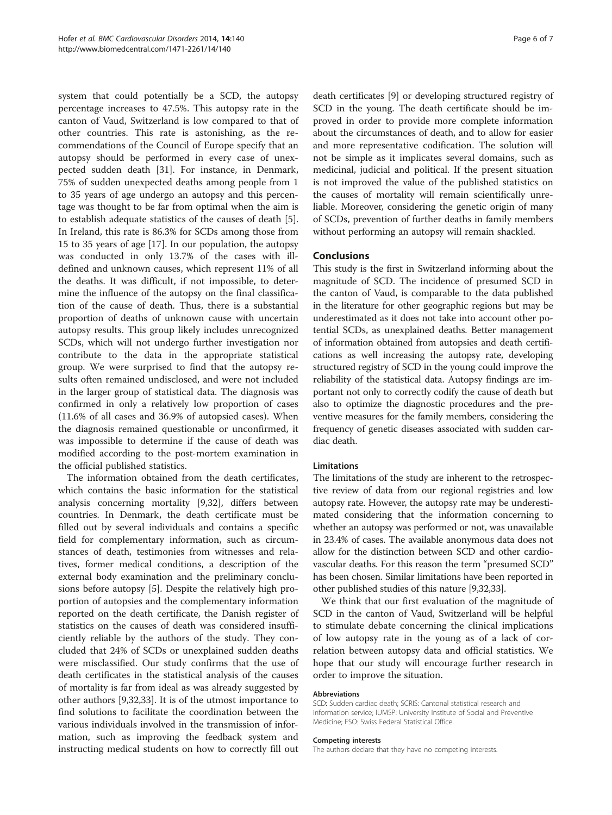system that could potentially be a SCD, the autopsy percentage increases to 47.5%. This autopsy rate in the canton of Vaud, Switzerland is low compared to that of other countries. This rate is astonishing, as the recommendations of the Council of Europe specify that an autopsy should be performed in every case of unexpected sudden death [\[31\]](#page-6-0). For instance, in Denmark, 75% of sudden unexpected deaths among people from 1 to 35 years of age undergo an autopsy and this percentage was thought to be far from optimal when the aim is to establish adequate statistics of the causes of death [\[5](#page-6-0)]. In Ireland, this rate is 86.3% for SCDs among those from 15 to 35 years of age [\[17](#page-6-0)]. In our population, the autopsy was conducted in only 13.7% of the cases with illdefined and unknown causes, which represent 11% of all the deaths. It was difficult, if not impossible, to determine the influence of the autopsy on the final classification of the cause of death. Thus, there is a substantial proportion of deaths of unknown cause with uncertain autopsy results. This group likely includes unrecognized SCDs, which will not undergo further investigation nor contribute to the data in the appropriate statistical group. We were surprised to find that the autopsy results often remained undisclosed, and were not included in the larger group of statistical data. The diagnosis was confirmed in only a relatively low proportion of cases (11.6% of all cases and 36.9% of autopsied cases). When the diagnosis remained questionable or unconfirmed, it was impossible to determine if the cause of death was modified according to the post-mortem examination in the official published statistics.

The information obtained from the death certificates, which contains the basic information for the statistical analysis concerning mortality [\[9,32\]](#page-6-0), differs between countries. In Denmark, the death certificate must be filled out by several individuals and contains a specific field for complementary information, such as circumstances of death, testimonies from witnesses and relatives, former medical conditions, a description of the external body examination and the preliminary conclusions before autopsy [[5\]](#page-6-0). Despite the relatively high proportion of autopsies and the complementary information reported on the death certificate, the Danish register of statistics on the causes of death was considered insufficiently reliable by the authors of the study. They concluded that 24% of SCDs or unexplained sudden deaths were misclassified. Our study confirms that the use of death certificates in the statistical analysis of the causes of mortality is far from ideal as was already suggested by other authors [\[9,32,33](#page-6-0)]. It is of the utmost importance to find solutions to facilitate the coordination between the various individuals involved in the transmission of information, such as improving the feedback system and instructing medical students on how to correctly fill out

death certificates [[9\]](#page-6-0) or developing structured registry of SCD in the young. The death certificate should be improved in order to provide more complete information about the circumstances of death, and to allow for easier and more representative codification. The solution will not be simple as it implicates several domains, such as medicinal, judicial and political. If the present situation is not improved the value of the published statistics on the causes of mortality will remain scientifically unreliable. Moreover, considering the genetic origin of many of SCDs, prevention of further deaths in family members without performing an autopsy will remain shackled.

## **Conclusions**

This study is the first in Switzerland informing about the magnitude of SCD. The incidence of presumed SCD in the canton of Vaud, is comparable to the data published in the literature for other geographic regions but may be underestimated as it does not take into account other potential SCDs, as unexplained deaths. Better management of information obtained from autopsies and death certifications as well increasing the autopsy rate, developing structured registry of SCD in the young could improve the reliability of the statistical data. Autopsy findings are important not only to correctly codify the cause of death but also to optimize the diagnostic procedures and the preventive measures for the family members, considering the frequency of genetic diseases associated with sudden cardiac death.

#### **Limitations**

The limitations of the study are inherent to the retrospective review of data from our regional registries and low autopsy rate. However, the autopsy rate may be underestimated considering that the information concerning to whether an autopsy was performed or not, was unavailable in 23.4% of cases. The available anonymous data does not allow for the distinction between SCD and other cardiovascular deaths. For this reason the term "presumed SCD" has been chosen. Similar limitations have been reported in other published studies of this nature [\[9,32,33](#page-6-0)].

We think that our first evaluation of the magnitude of SCD in the canton of Vaud, Switzerland will be helpful to stimulate debate concerning the clinical implications of low autopsy rate in the young as of a lack of correlation between autopsy data and official statistics. We hope that our study will encourage further research in order to improve the situation.

#### Abbreviations

SCD: Sudden cardiac death; SCRIS: Cantonal statistical research and information service; IUMSP: University Institute of Social and Preventive Medicine; FSO: Swiss Federal Statistical Office.

#### Competing interests

The authors declare that they have no competing interests.